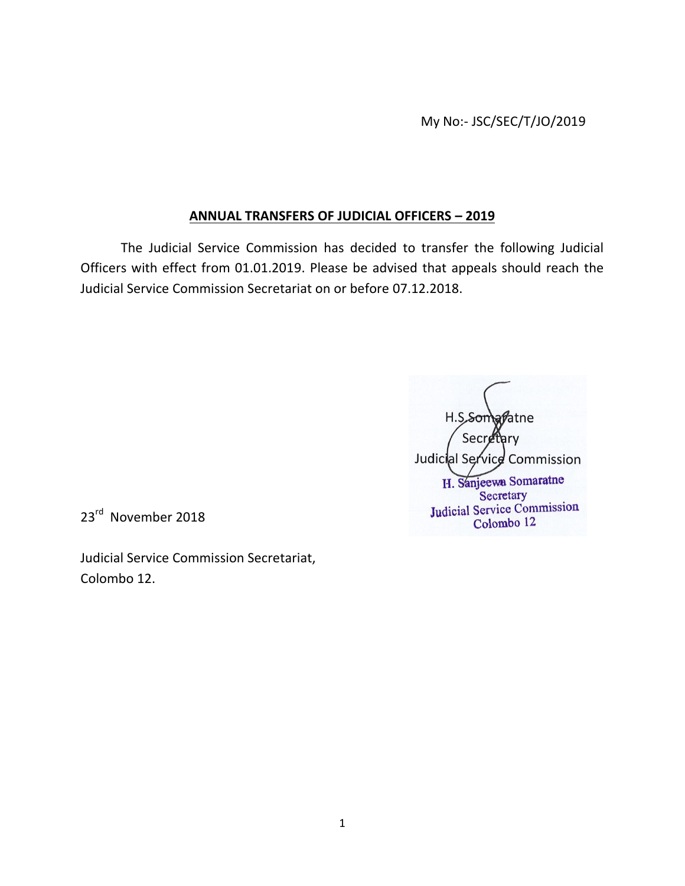My No:- JSC/SEC/T/JO/2019

## **ANNUAL TRANSFERS OF JUDICIAL OFFICERS – 2019**

The Judicial Service Commission has decided to transfer the following Judicial Officers with effect from 01.01.2019. Please be advised that appeals should reach the Judicial Service Commission Secretariat on or before 07.12.2018.

**Matne** Secret Judicial Service Commission H. Sanjeewa Somaratne Secretary Judicial Service Commission Colombo 12

23<sup>rd</sup> November 2018

Judicial Service Commission Secretariat, Colombo 12.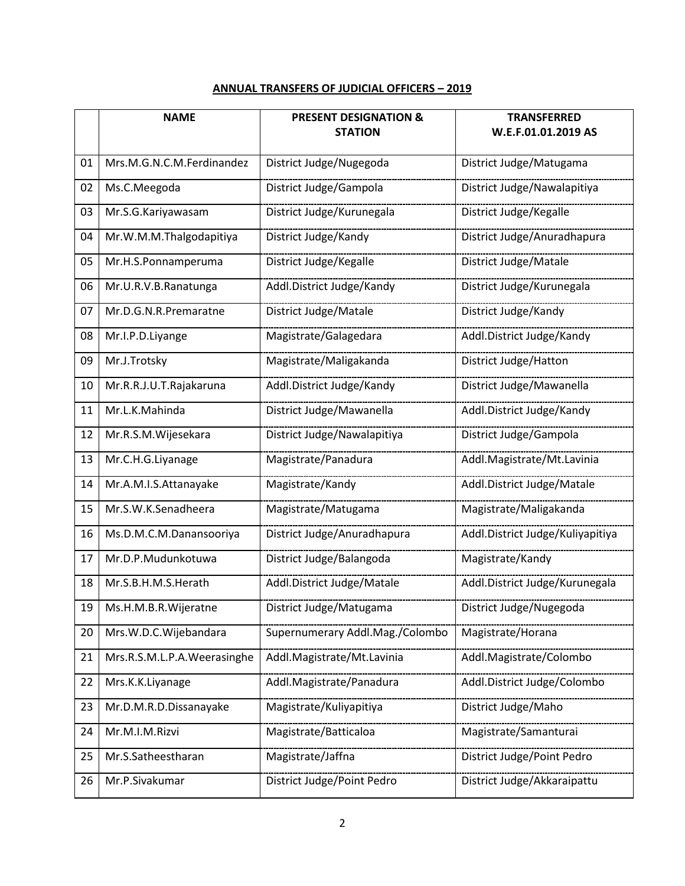## **ANNUAL TRANSFERS OF JUDICIAL OFFICERS – 2019**

|    | <b>NAME</b>                 | <b>PRESENT DESIGNATION &amp;</b><br><b>STATION</b> | <b>TRANSFERRED</b><br>W.E.F.01.01.2019 AS |
|----|-----------------------------|----------------------------------------------------|-------------------------------------------|
|    |                             |                                                    |                                           |
| 01 | Mrs.M.G.N.C.M.Ferdinandez   | District Judge/Nugegoda                            | District Judge/Matugama                   |
| 02 | Ms.C.Meegoda                | District Judge/Gampola                             | District Judge/Nawalapitiya               |
| 03 | Mr.S.G.Kariyawasam          | District Judge/Kurunegala                          | District Judge/Kegalle                    |
| 04 | Mr.W.M.M.Thalgodapitiya     | District Judge/Kandy                               | District Judge/Anuradhapura               |
| 05 | Mr.H.S.Ponnamperuma         | District Judge/Kegalle                             | District Judge/Matale                     |
| 06 | Mr.U.R.V.B.Ranatunga        | Addl.District Judge/Kandy                          | District Judge/Kurunegala                 |
| 07 | Mr.D.G.N.R.Premaratne       | District Judge/Matale                              | District Judge/Kandy                      |
| 08 | Mr.I.P.D.Liyange            | Magistrate/Galagedara                              | Addl.District Judge/Kandy                 |
| 09 | Mr.J.Trotsky                | Magistrate/Maligakanda                             | District Judge/Hatton                     |
| 10 | Mr.R.R.J.U.T.Rajakaruna     | Addl.District Judge/Kandy                          | District Judge/Mawanella                  |
| 11 | Mr.L.K.Mahinda              | District Judge/Mawanella                           | Addl.District Judge/Kandy                 |
| 12 | Mr.R.S.M.Wijesekara         | District Judge/Nawalapitiya                        | District Judge/Gampola                    |
| 13 | Mr.C.H.G.Liyanage           | Magistrate/Panadura                                | Addl.Magistrate/Mt.Lavinia                |
| 14 | Mr.A.M.I.S.Attanayake       | Magistrate/Kandy                                   | Addl.District Judge/Matale                |
| 15 | Mr.S.W.K.Senadheera         | Magistrate/Matugama                                | Magistrate/Maligakanda                    |
| 16 | Ms.D.M.C.M.Danansooriya     | District Judge/Anuradhapura                        | Addl.District Judge/Kuliyapitiya          |
| 17 | Mr.D.P.Mudunkotuwa          | District Judge/Balangoda                           | Magistrate/Kandy                          |
| 18 | Mr.S.B.H.M.S.Herath         | Addl.District Judge/Matale                         | Addl.District Judge/Kurunegala            |
| 19 | Ms.H.M.B.R.Wijeratne        | District Judge/Matugama                            | District Judge/Nugegoda                   |
| 20 | Mrs.W.D.C.Wijebandara       | Supernumerary Addl.Mag./Colombo                    | Magistrate/Horana                         |
| 21 | Mrs.R.S.M.L.P.A.Weerasinghe | Addl.Magistrate/Mt.Lavinia                         | Addl.Magistrate/Colombo                   |
| 22 | Mrs.K.K.Liyanage            | Addl.Magistrate/Panadura                           | Addl.District Judge/Colombo               |
| 23 | Mr.D.M.R.D.Dissanayake      | Magistrate/Kuliyapitiya                            | District Judge/Maho                       |
| 24 | Mr.M.I.M.Rizvi              | Magistrate/Batticaloa                              | Magistrate/Samanturai                     |
| 25 | Mr.S.Satheestharan          | Magistrate/Jaffna                                  | District Judge/Point Pedro                |
| 26 | Mr.P.Sivakumar              | District Judge/Point Pedro                         | District Judge/Akkaraipattu               |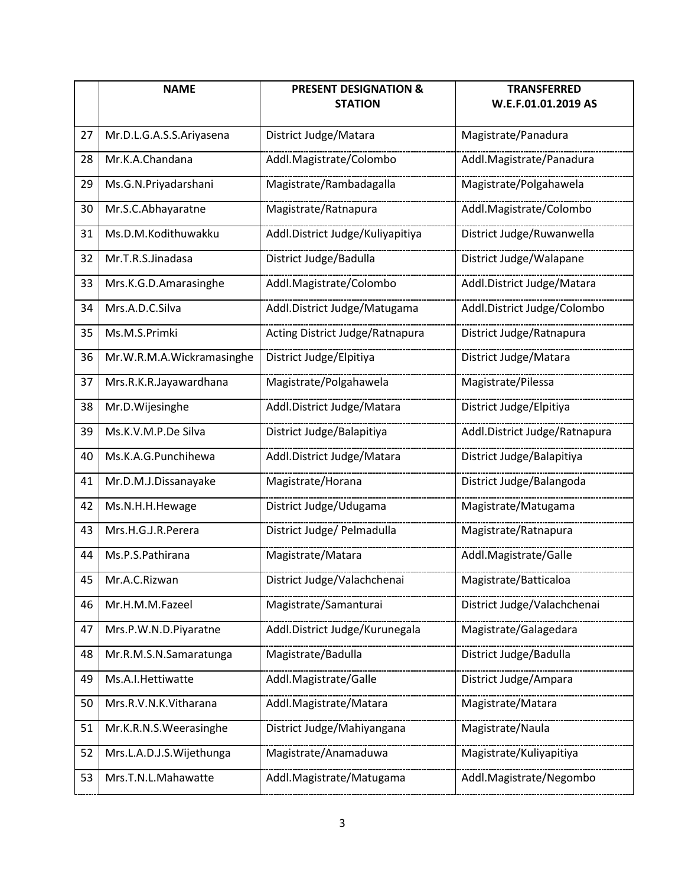|    | <b>NAME</b>               | <b>PRESENT DESIGNATION &amp;</b><br><b>STATION</b> | <b>TRANSFERRED</b><br>W.E.F.01.01.2019 AS |
|----|---------------------------|----------------------------------------------------|-------------------------------------------|
| 27 | Mr.D.L.G.A.S.S.Ariyasena  | District Judge/Matara                              | Magistrate/Panadura                       |
| 28 | Mr.K.A.Chandana           | Addl.Magistrate/Colombo                            | Addl.Magistrate/Panadura                  |
| 29 | Ms.G.N.Priyadarshani      | Magistrate/Rambadagalla                            | Magistrate/Polgahawela                    |
| 30 | Mr.S.C.Abhayaratne        | Magistrate/Ratnapura                               | Addl.Magistrate/Colombo                   |
| 31 | Ms.D.M.Kodithuwakku       | Addl.District Judge/Kuliyapitiya                   | District Judge/Ruwanwella                 |
| 32 | Mr.T.R.S.Jinadasa         | District Judge/Badulla                             | District Judge/Walapane                   |
| 33 | Mrs.K.G.D.Amarasinghe     | Addl.Magistrate/Colombo                            | Addl.District Judge/Matara                |
| 34 | Mrs.A.D.C.Silva           | Addl.District Judge/Matugama                       | Addl.District Judge/Colombo               |
| 35 | Ms.M.S.Primki             | Acting District Judge/Ratnapura                    | District Judge/Ratnapura                  |
| 36 | Mr.W.R.M.A.Wickramasinghe | District Judge/Elpitiya                            | District Judge/Matara                     |
| 37 | Mrs.R.K.R.Jayawardhana    | Magistrate/Polgahawela                             | Magistrate/Pilessa                        |
| 38 | Mr.D.Wijesinghe           | Addl.District Judge/Matara                         | District Judge/Elpitiya                   |
| 39 | Ms.K.V.M.P.De Silva       | District Judge/Balapitiya                          | Addl.District Judge/Ratnapura             |
| 40 | Ms.K.A.G.Punchihewa       | Addl.District Judge/Matara                         | District Judge/Balapitiya                 |
| 41 | Mr.D.M.J.Dissanayake      | Magistrate/Horana                                  | District Judge/Balangoda                  |
| 42 | Ms.N.H.H.Hewage           | District Judge/Udugama                             | Magistrate/Matugama                       |
| 43 | Mrs.H.G.J.R.Perera        | District Judge/ Pelmadulla                         | Magistrate/Ratnapura                      |
| 44 | Ms.P.S.Pathirana          | Magistrate/Matara                                  | Addl.Magistrate/Galle                     |
| 45 | Mr.A.C.Rizwan             | District Judge/Valachchenai                        | Magistrate/Batticaloa                     |
| 46 | Mr.H.M.M.Fazeel           | Magistrate/Samanturai                              | District Judge/Valachchenai               |
| 47 | Mrs.P.W.N.D.Piyaratne     | Addl.District Judge/Kurunegala                     | Magistrate/Galagedara                     |
| 48 | Mr.R.M.S.N.Samaratunga    | Magistrate/Badulla                                 | District Judge/Badulla                    |
| 49 | Ms.A.I.Hettiwatte         | Addl.Magistrate/Galle                              | District Judge/Ampara                     |
| 50 | Mrs.R.V.N.K.Vitharana     | Addl.Magistrate/Matara                             | Magistrate/Matara                         |
| 51 | Mr.K.R.N.S.Weerasinghe    | District Judge/Mahiyangana                         | Magistrate/Naula                          |
| 52 | Mrs.L.A.D.J.S.Wijethunga  | Magistrate/Anamaduwa                               | Magistrate/Kuliyapitiya                   |
| 53 | Mrs.T.N.L.Mahawatte       | Addl.Magistrate/Matugama                           | Addl.Magistrate/Negombo                   |